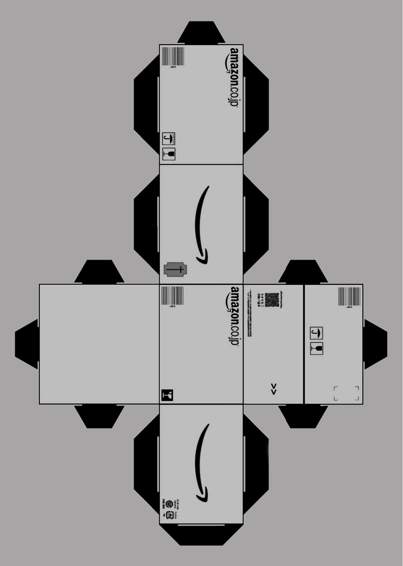